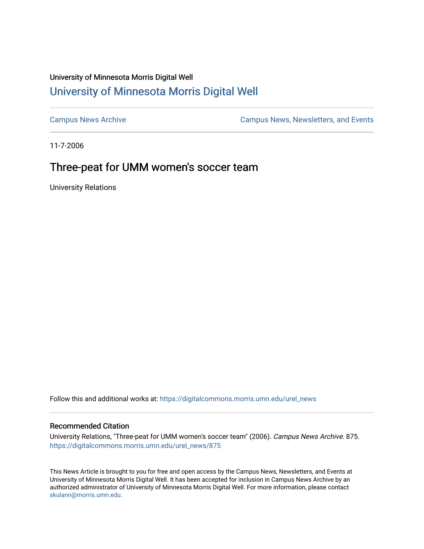## University of Minnesota Morris Digital Well [University of Minnesota Morris Digital Well](https://digitalcommons.morris.umn.edu/)

[Campus News Archive](https://digitalcommons.morris.umn.edu/urel_news) [Campus News, Newsletters, and Events](https://digitalcommons.morris.umn.edu/externalrel) 

11-7-2006

## Three-peat for UMM women's soccer team

University Relations

Follow this and additional works at: [https://digitalcommons.morris.umn.edu/urel\\_news](https://digitalcommons.morris.umn.edu/urel_news?utm_source=digitalcommons.morris.umn.edu%2Furel_news%2F875&utm_medium=PDF&utm_campaign=PDFCoverPages) 

## Recommended Citation

University Relations, "Three-peat for UMM women's soccer team" (2006). Campus News Archive. 875. [https://digitalcommons.morris.umn.edu/urel\\_news/875](https://digitalcommons.morris.umn.edu/urel_news/875?utm_source=digitalcommons.morris.umn.edu%2Furel_news%2F875&utm_medium=PDF&utm_campaign=PDFCoverPages) 

This News Article is brought to you for free and open access by the Campus News, Newsletters, and Events at University of Minnesota Morris Digital Well. It has been accepted for inclusion in Campus News Archive by an authorized administrator of University of Minnesota Morris Digital Well. For more information, please contact [skulann@morris.umn.edu.](mailto:skulann@morris.umn.edu)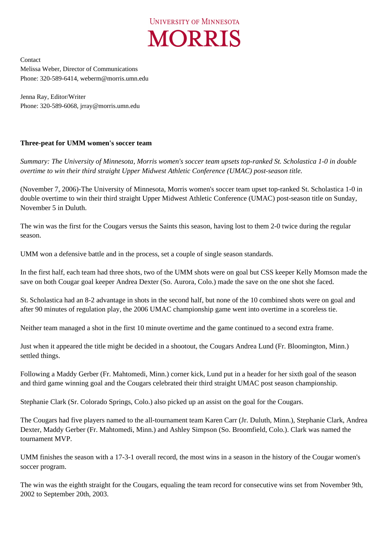

Contact Melissa Weber, Director of Communications Phone: 320-589-6414, weberm@morris.umn.edu

Jenna Ray, Editor/Writer Phone: 320-589-6068, jrray@morris.umn.edu

## **Three-peat for UMM women's soccer team**

*Summary: The University of Minnesota, Morris women's soccer team upsets top-ranked St. Scholastica 1-0 in double overtime to win their third straight Upper Midwest Athletic Conference (UMAC) post-season title.*

(November 7, 2006)-The University of Minnesota, Morris women's soccer team upset top-ranked St. Scholastica 1-0 in double overtime to win their third straight Upper Midwest Athletic Conference (UMAC) post-season title on Sunday, November 5 in Duluth.

The win was the first for the Cougars versus the Saints this season, having lost to them 2-0 twice during the regular season.

UMM won a defensive battle and in the process, set a couple of single season standards.

In the first half, each team had three shots, two of the UMM shots were on goal but CSS keeper Kelly Momson made the save on both Cougar goal keeper Andrea Dexter (So. Aurora, Colo.) made the save on the one shot she faced.

St. Scholastica had an 8-2 advantage in shots in the second half, but none of the 10 combined shots were on goal and after 90 minutes of regulation play, the 2006 UMAC championship game went into overtime in a scoreless tie.

Neither team managed a shot in the first 10 minute overtime and the game continued to a second extra frame.

Just when it appeared the title might be decided in a shootout, the Cougars Andrea Lund (Fr. Bloomington, Minn.) settled things.

Following a Maddy Gerber (Fr. Mahtomedi, Minn.) corner kick, Lund put in a header for her sixth goal of the season and third game winning goal and the Cougars celebrated their third straight UMAC post season championship.

Stephanie Clark (Sr. Colorado Springs, Colo.) also picked up an assist on the goal for the Cougars.

The Cougars had five players named to the all-tournament team Karen Carr (Jr. Duluth, Minn.), Stephanie Clark, Andrea Dexter, Maddy Gerber (Fr. Mahtomedi, Minn.) and Ashley Simpson (So. Broomfield, Colo.). Clark was named the tournament MVP.

UMM finishes the season with a 17-3-1 overall record, the most wins in a season in the history of the Cougar women's soccer program.

The win was the eighth straight for the Cougars, equaling the team record for consecutive wins set from November 9th, 2002 to September 20th, 2003.